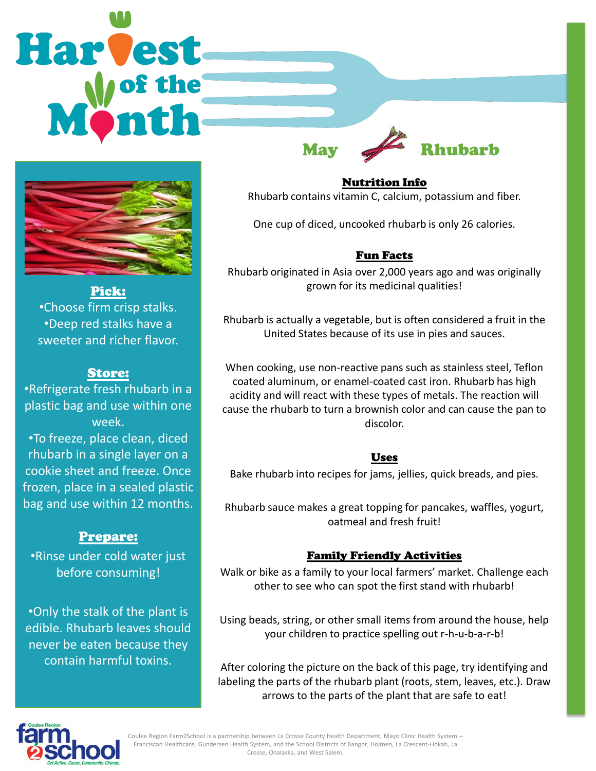Harvest

Pick:

•Choose firm crisp stalks. •Deep red stalks have a sweeter and richer flavor.

#### Store:

•Refrigerate fresh rhubarb in a plastic bag and use within one week. •To freeze, place clean, diced rhubarb in a single layer on a cookie sheet and freeze. Once frozen, place in a sealed plastic bag and use within 12 months.

#### Prepare:

•Rinse under cold water just before consuming!

•Only the stalk of the plant is edible. Rhubarb leaves should never be eaten because they contain harmful toxins.

Nutrition Info Rhubarb contains vitamin C, calcium, potassium and fiber.

May **Rhubarb** 

One cup of diced, uncooked rhubarb is only 26 calories.

### Fun Facts

Rhubarb originated in Asia over 2,000 years ago and was originally grown for its medicinal qualities!

Rhubarb is actually a vegetable, but is often considered a fruit in the United States because of its use in pies and sauces.

When cooking, use non-reactive pans such as stainless steel, Teflon coated aluminum, or enamel-coated cast iron. Rhubarb has high acidity and will react with these types of metals. The reaction will cause the rhubarb to turn a brownish color and can cause the pan to discolor.

#### Uses

Bake rhubarb into recipes for jams, jellies, quick breads, and pies.

Rhubarb sauce makes a great topping for pancakes, waffles, yogurt, oatmeal and fresh fruit!

#### Family Friendly Activities

Walk or bike as a family to your local farmers' market. Challenge each other to see who can spot the first stand with rhubarb!

Using beads, string, or other small items from around the house, help your children to practice spelling out r-h-u-b-a-r-b!

After coloring the picture on the back of this page, try identifying and labeling the parts of the rhubarb plant (roots, stem, leaves, etc.). Draw arrows to the parts of the plant that are safe to eat!



Coulee Region Farm2School is a partnership between La Crosse County Health Department, Mayo Clinic Health System – Franciscan Healthcare, Gundersen Health System, and the School Districts of Bangor, Holmen, La Crescent-Hokah, La Crosse, Onalaska, and West Salem.